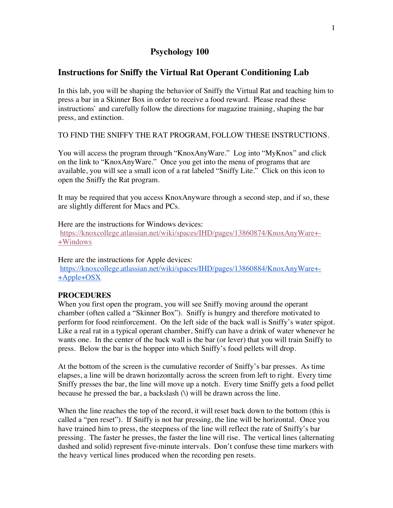# **Psychology 100**

# **Instructions for Sniffy the Virtual Rat Operant Conditioning Lab**

In this lab, you will be shaping the behavior of Sniffy the Virtual Rat and teaching him to press a bar in a Skinner Box in order to receive a food reward. Please read these instructions` and carefully follow the directions for magazine training, shaping the bar press, and extinction.

TO FIND THE SNIFFY THE RAT PROGRAM, FOLLOW THESE INSTRUCTIONS.

You will access the program through "KnoxAnyWare." Log into "MyKnox" and click on the link to "KnoxAnyWare." Once you get into the menu of programs that are available, you will see a small icon of a rat labeled "Sniffy Lite." Click on this icon to open the Sniffy the Rat program.

It may be required that you access KnoxAnyware through a second step, and if so, these are slightly different for Macs and PCs.

Here are the instructions for Windows devices: https://knoxcollege.atlassian.net/wiki/spaces/IHD/pages/13860874/KnoxAnyWare+- +Windows

Here are the instructions for Apple devices: https://knoxcollege.atlassian.net/wiki/spaces/IHD/pages/13860884/KnoxAnyWare+- +Apple+OSX

# **PROCEDURES**

When you first open the program, you will see Sniffy moving around the operant chamber (often called a "Skinner Box"). Sniffy is hungry and therefore motivated to perform for food reinforcement. On the left side of the back wall is Sniffy's water spigot. Like a real rat in a typical operant chamber, Sniffy can have a drink of water whenever he wants one. In the center of the back wall is the bar (or lever) that you will train Sniffy to press. Below the bar is the hopper into which Sniffy's food pellets will drop.

At the bottom of the screen is the cumulative recorder of Sniffy's bar presses. As time elapses, a line will be drawn horizontally across the screen from left to right. Every time Sniffy presses the bar, the line will move up a notch. Every time Sniffy gets a food pellet because he pressed the bar, a backslash (\) will be drawn across the line.

When the line reaches the top of the record, it will reset back down to the bottom (this is called a "pen reset"). If Sniffy is not bar pressing, the line will be horizontal. Once you have trained him to press, the steepness of the line will reflect the rate of Sniffy's bar pressing. The faster he presses, the faster the line will rise. The vertical lines (alternating dashed and solid) represent five-minute intervals. Don't confuse these time markers with the heavy vertical lines produced when the recording pen resets.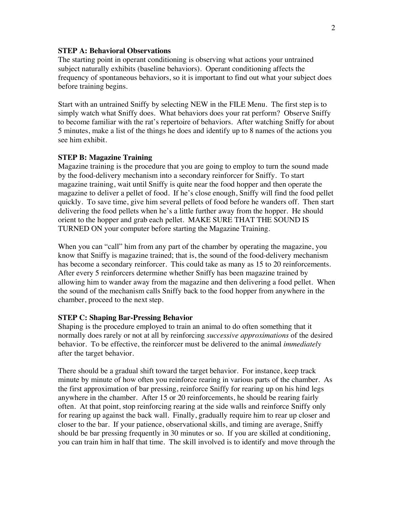## **STEP A: Behavioral Observations**

The starting point in operant conditioning is observing what actions your untrained subject naturally exhibits (baseline behaviors). Operant conditioning affects the frequency of spontaneous behaviors, so it is important to find out what your subject does before training begins.

Start with an untrained Sniffy by selecting NEW in the FILE Menu. The first step is to simply watch what Sniffy does. What behaviors does your rat perform? Observe Sniffy to become familiar with the rat's repertoire of behaviors. After watching Sniffy for about 5 minutes, make a list of the things he does and identify up to 8 names of the actions you see him exhibit.

#### **STEP B: Magazine Training**

Magazine training is the procedure that you are going to employ to turn the sound made by the food-delivery mechanism into a secondary reinforcer for Sniffy. To start magazine training, wait until Sniffy is quite near the food hopper and then operate the magazine to deliver a pellet of food. If he's close enough, Sniffy will find the food pellet quickly. To save time, give him several pellets of food before he wanders off. Then start delivering the food pellets when he's a little further away from the hopper. He should orient to the hopper and grab each pellet. MAKE SURE THAT THE SOUND IS TURNED ON your computer before starting the Magazine Training.

When you can "call" him from any part of the chamber by operating the magazine, you know that Sniffy is magazine trained; that is, the sound of the food-delivery mechanism has become a secondary reinforcer. This could take as many as 15 to 20 reinforcements. After every 5 reinforcers determine whether Sniffy has been magazine trained by allowing him to wander away from the magazine and then delivering a food pellet. When the sound of the mechanism calls Sniffy back to the food hopper from anywhere in the chamber, proceed to the next step.

#### **STEP C: Shaping Bar-Pressing Behavior**

Shaping is the procedure employed to train an animal to do often something that it normally does rarely or not at all by reinforcing *successive approximations* of the desired behavior. To be effective, the reinforcer must be delivered to the animal *immediately*  after the target behavior.

There should be a gradual shift toward the target behavior. For instance, keep track minute by minute of how often you reinforce rearing in various parts of the chamber. As the first approximation of bar pressing, reinforce Sniffy for rearing up on his hind legs anywhere in the chamber. After 15 or 20 reinforcements, he should be rearing fairly often. At that point, stop reinforcing rearing at the side walls and reinforce Sniffy only for rearing up against the back wall. Finally, gradually require him to rear up closer and closer to the bar. If your patience, observational skills, and timing are average, Sniffy should be bar pressing frequently in 30 minutes or so. If you are skilled at conditioning, you can train him in half that time. The skill involved is to identify and move through the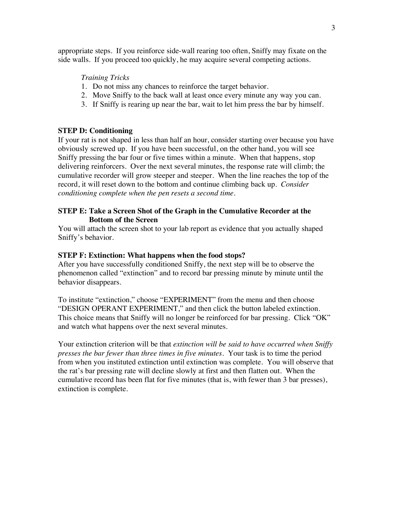appropriate steps. If you reinforce side-wall rearing too often, Sniffy may fixate on the side walls. If you proceed too quickly, he may acquire several competing actions.

### *Training Tricks*

- 1. Do not miss any chances to reinforce the target behavior.
- 2. Move Sniffy to the back wall at least once every minute any way you can.
- 3. If Sniffy is rearing up near the bar, wait to let him press the bar by himself.

#### **STEP D: Conditioning**

If your rat is not shaped in less than half an hour, consider starting over because you have obviously screwed up. If you have been successful, on the other hand, you will see Sniffy pressing the bar four or five times within a minute. When that happens, stop delivering reinforcers. Over the next several minutes, the response rate will climb; the cumulative recorder will grow steeper and steeper. When the line reaches the top of the record, it will reset down to the bottom and continue climbing back up. *Consider conditioning complete when the pen resets a second time.*

## **STEP E: Take a Screen Shot of the Graph in the Cumulative Recorder at the Bottom of the Screen**

You will attach the screen shot to your lab report as evidence that you actually shaped Sniffy's behavior.

#### **STEP F: Extinction: What happens when the food stops?**

After you have successfully conditioned Sniffy, the next step will be to observe the phenomenon called "extinction" and to record bar pressing minute by minute until the behavior disappears.

To institute "extinction," choose "EXPERIMENT" from the menu and then choose "DESIGN OPERANT EXPERIMENT," and then click the button labeled extinction. This choice means that Sniffy will no longer be reinforced for bar pressing. Click "OK" and watch what happens over the next several minutes.

Your extinction criterion will be that *extinction will be said to have occurred when Sniffy presses the bar fewer than three times in five minutes.* Your task is to time the period from when you instituted extinction until extinction was complete. You will observe that the rat's bar pressing rate will decline slowly at first and then flatten out. When the cumulative record has been flat for five minutes (that is, with fewer than 3 bar presses), extinction is complete.